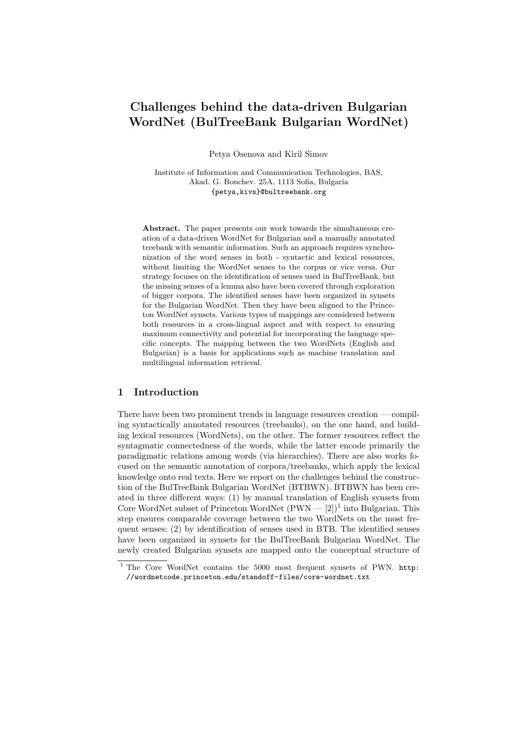# **Challenges behind the data-driven Bulgarian WordNet (BulTreeBank Bulgarian WordNet)**

Petya Osenova and Kiril Simov

Institute of Information and Communication Technologies, BAS, Akad. G. Bonchev. 25A, 1113 Sofia, Bulgaria {petya,kivs}@bultreebank.org

Abstract. The paper presents our work towards the simultaneous creation of a data-driven WordNet for Bulgarian and a manually annotated treebank with semantic information. Such an approach requires synchronization of the word senses in both - syntactic and lexical resources, without limiting the WordNet senses to the corpus or vice versa. Our strategy focuses on the identification of senses used in BulTreeBank, but the missing senses of a lemma also have been covered through exploration of bigger corpora. The identified senses have been organized in synsets for the Bulgarian WordNet. Then they have been aligned to the Princeton WordNet synsets. Various types of mappings are considered between both resources in a cross-lingual aspect and with respect to ensuring maximum connectivity and potential for incorporating the language specific concepts. The mapping between the two WordNets (English and Bulgarian) is a basis for applications such as machine translation and multilingual information retrieval.

#### **1 Introduction**

There have been two prominent trends in language resources creation — compiling syntactically annotated resources (treebanks), on the one hand, and building lexical resources (WordNets), on the other. The former resources reflect the syntagmatic connectedness of the words, while the latter encode primarily the paradigmatic relations among words (via hierarchies). There are also works focused on the semantic annotation of corpora/treebanks, which apply the lexical knowledge onto real texts. Here we report on the challenges behind the construction of the BulTreeBank Bulgarian WordNet (BTBWN). BTBWN has been created in three different ways: (1) by manual translation of English synsets from Core WordNet subset of Princeton WordNet  $(PWN - [2])^1$  into Bulgarian. This step ensures comparable coverage between the two WordNets on the most frequent senses; (2) by identification of senses used in BTB. The identified senses have been organized in synsets for the BulTreeBank Bulgarian WordNet. The newly created Bulgarian synsets are mapped onto the conceptual structure of

<sup>&</sup>lt;sup>1</sup> The Core WordNet contains the 5000 most frequent synsets of PWN. http: //wordnetcode.princeton.edu/standoff-files/core-wordnet.txt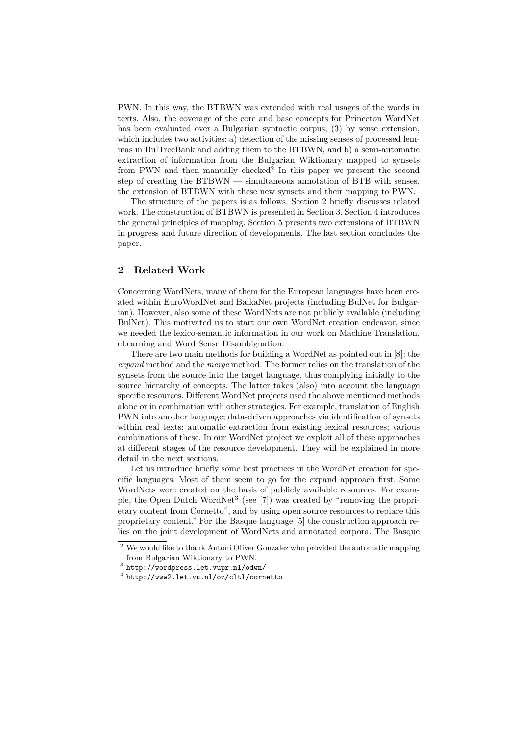PWN. In this way, the BTBWN was extended with real usages of the words in texts. Also, the coverage of the core and base concepts for Princeton WordNet has been evaluated over a Bulgarian syntactic corpus; (3) by sense extension, which includes two activities: a) detection of the missing senses of processed lemmas in BulTreeBank and adding them to the BTBWN, and b) a semi-automatic extraction of information from the Bulgarian Wiktionary mapped to synsets from PWN and then manually checked<sup>2</sup> In this paper we present the second step of creating the BTBWN — simultaneous annotation of BTB with senses, the extension of BTBWN with these new synsets and their mapping to PWN.

The structure of the papers is as follows. Section 2 briefly discusses related work. The construction of BTBWN is presented in Section 3. Section 4 introduces the general principles of mapping. Section 5 presents two extensions of BTBWN in progress and future direction of developments. The last section concludes the paper.

# **2 Related Work**

Concerning WordNets, many of them for the European languages have been created within EuroWordNet and BalkaNet projects (including BulNet for Bulgarian). However, also some of these WordNets are not publicly available (including BulNet). This motivated us to start our own WordNet creation endeavor, since we needed the lexico-semantic information in our work on Machine Translation, eLearning and Word Sense Disambiguation.

There are two main methods for building a WordNet as pointed out in [8]: the *expand* method and the *merge* method. The former relies on the translation of the synsets from the source into the target language, thus complying initially to the source hierarchy of concepts. The latter takes (also) into account the language specific resources. Different WordNet projects used the above mentioned methods alone or in combination with other strategies. For example, translation of English PWN into another language; data-driven approaches via identification of synsets within real texts; automatic extraction from existing lexical resources; various combinations of these. In our WordNet project we exploit all of these approaches at different stages of the resource development. They will be explained in more detail in the next sections.

Let us introduce briefly some best practices in the WordNet creation for specific languages. Most of them seem to go for the expand approach first. Some WordNets were created on the basis of publicly available resources. For example, the Open Dutch WordNet<sup>3</sup> (see [7]) was created by "removing the propri- $\epsilon$  etary content from Cornetto<sup>4</sup>, and by using open source resources to replace this proprietary content." For the Basque language [5] the construction approach relies on the joint development of WordNets and annotated corpora. The Basque

<sup>2</sup> We would like to thank Antoni Oliver Gonzalez who provided the automatic mapping from Bulgarian Wiktionary to PWN.

 $^3$  http://wordpress.let.vupr.nl/odwn/

<sup>4</sup> http://www2.let.vu.nl/oz/cltl/cornetto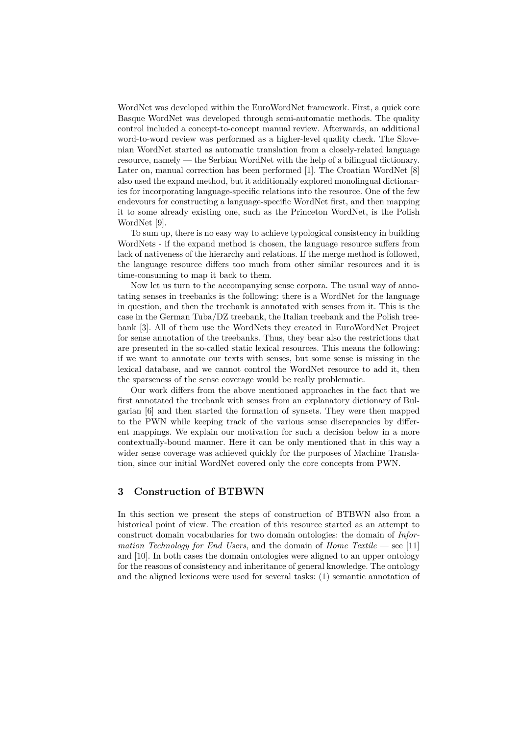WordNet was developed within the EuroWordNet framework. First, a quick core Basque WordNet was developed through semi-automatic methods. The quality control included a concept-to-concept manual review. Afterwards, an additional word-to-word review was performed as a higher-level quality check. The Slovenian WordNet started as automatic translation from a closely-related language resource, namely — the Serbian WordNet with the help of a bilingual dictionary. Later on, manual correction has been performed [1]. The Croatian WordNet [8] also used the expand method, but it additionally explored monolingual dictionaries for incorporating language-specific relations into the resource. One of the few endevours for constructing a language-specific WordNet first, and then mapping it to some already existing one, such as the Princeton WordNet, is the Polish WordNet [9].

To sum up, there is no easy way to achieve typological consistency in building WordNets - if the expand method is chosen, the language resource suffers from lack of nativeness of the hierarchy and relations. If the merge method is followed, the language resource differs too much from other similar resources and it is time-consuming to map it back to them.

Now let us turn to the accompanying sense corpora. The usual way of annotating senses in treebanks is the following: there is a WordNet for the language in question, and then the treebank is annotated with senses from it. This is the case in the German Tuba/DZ treebank, the Italian treebank and the Polish treebank [3]. All of them use the WordNets they created in EuroWordNet Project for sense annotation of the treebanks. Thus, they bear also the restrictions that are presented in the so-called static lexical resources. This means the following: if we want to annotate our texts with senses, but some sense is missing in the lexical database, and we cannot control the WordNet resource to add it, then the sparseness of the sense coverage would be really problematic.

Our work differs from the above mentioned approaches in the fact that we first annotated the treebank with senses from an explanatory dictionary of Bulgarian [6] and then started the formation of synsets. They were then mapped to the PWN while keeping track of the various sense discrepancies by different mappings. We explain our motivation for such a decision below in a more contextually-bound manner. Here it can be only mentioned that in this way a wider sense coverage was achieved quickly for the purposes of Machine Translation, since our initial WordNet covered only the core concepts from PWN.

## **3 Construction of BTBWN**

In this section we present the steps of construction of BTBWN also from a historical point of view. The creation of this resource started as an attempt to construct domain vocabularies for two domain ontologies: the domain of *Information Technology for End Users*, and the domain of *Home Textile* — see [11] and [10]. In both cases the domain ontologies were aligned to an upper ontology for the reasons of consistency and inheritance of general knowledge. The ontology and the aligned lexicons were used for several tasks: (1) semantic annotation of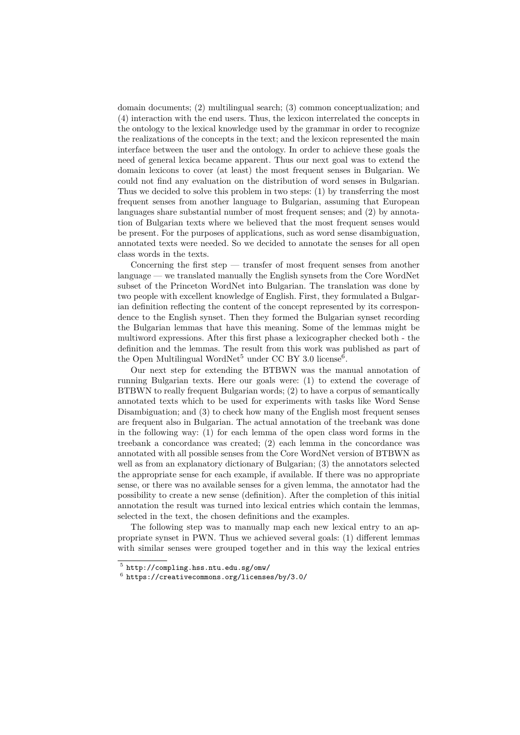domain documents; (2) multilingual search; (3) common conceptualization; and (4) interaction with the end users. Thus, the lexicon interrelated the concepts in the ontology to the lexical knowledge used by the grammar in order to recognize the realizations of the concepts in the text; and the lexicon represented the main interface between the user and the ontology. In order to achieve these goals the need of general lexica became apparent. Thus our next goal was to extend the domain lexicons to cover (at least) the most frequent senses in Bulgarian. We could not find any evaluation on the distribution of word senses in Bulgarian. Thus we decided to solve this problem in two steps: (1) by transferring the most frequent senses from another language to Bulgarian, assuming that European languages share substantial number of most frequent senses; and (2) by annotation of Bulgarian texts where we believed that the most frequent senses would be present. For the purposes of applications, such as word sense disambiguation, annotated texts were needed. So we decided to annotate the senses for all open class words in the texts.

Concerning the first step — transfer of most frequent senses from another language — we translated manually the English synsets from the Core WordNet subset of the Princeton WordNet into Bulgarian. The translation was done by two people with excellent knowledge of English. First, they formulated a Bulgarian definition reflecting the content of the concept represented by its correspondence to the English synset. Then they formed the Bulgarian synset recording the Bulgarian lemmas that have this meaning. Some of the lemmas might be multiword expressions. After this first phase a lexicographer checked both - the definition and the lemmas. The result from this work was published as part of the Open Multilingual WordNet<sup>5</sup> under CC BY 3.0 license<sup>6</sup>.

Our next step for extending the BTBWN was the manual annotation of running Bulgarian texts. Here our goals were: (1) to extend the coverage of BTBWN to really frequent Bulgarian words; (2) to have a corpus of semantically annotated texts which to be used for experiments with tasks like Word Sense Disambiguation; and (3) to check how many of the English most frequent senses are frequent also in Bulgarian. The actual annotation of the treebank was done in the following way: (1) for each lemma of the open class word forms in the treebank a concordance was created; (2) each lemma in the concordance was annotated with all possible senses from the Core WordNet version of BTBWN as well as from an explanatory dictionary of Bulgarian; (3) the annotators selected the appropriate sense for each example, if available. If there was no appropriate sense, or there was no available senses for a given lemma, the annotator had the possibility to create a new sense (definition). After the completion of this initial annotation the result was turned into lexical entries which contain the lemmas, selected in the text, the chosen definitions and the examples.

The following step was to manually map each new lexical entry to an appropriate synset in PWN. Thus we achieved several goals: (1) different lemmas with similar senses were grouped together and in this way the lexical entries

 $^5$  http://compling.hss.ntu.edu.sg/omw/

 $^6$  https://creativecommons.org/licenses/by/3.0/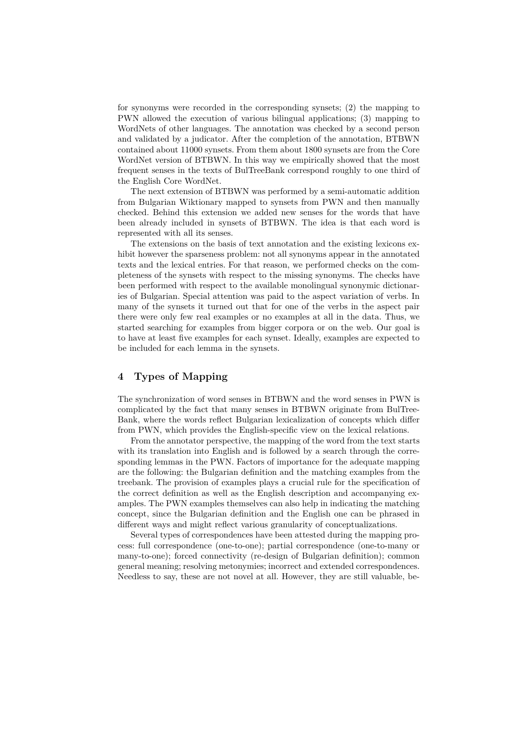for synonyms were recorded in the corresponding synsets; (2) the mapping to PWN allowed the execution of various bilingual applications; (3) mapping to WordNets of other languages. The annotation was checked by a second person and validated by a judicator. After the completion of the annotation, BTBWN contained about 11000 synsets. From them about 1800 synsets are from the Core WordNet version of BTBWN. In this way we empirically showed that the most frequent senses in the texts of BulTreeBank correspond roughly to one third of the English Core WordNet.

The next extension of BTBWN was performed by a semi-automatic addition from Bulgarian Wiktionary mapped to synsets from PWN and then manually checked. Behind this extension we added new senses for the words that have been already included in synsets of BTBWN. The idea is that each word is represented with all its senses.

The extensions on the basis of text annotation and the existing lexicons exhibit however the sparseness problem: not all synonyms appear in the annotated texts and the lexical entries. For that reason, we performed checks on the completeness of the synsets with respect to the missing synonyms. The checks have been performed with respect to the available monolingual synonymic dictionaries of Bulgarian. Special attention was paid to the aspect variation of verbs. In many of the synsets it turned out that for one of the verbs in the aspect pair there were only few real examples or no examples at all in the data. Thus, we started searching for examples from bigger corpora or on the web. Our goal is to have at least five examples for each synset. Ideally, examples are expected to be included for each lemma in the synsets.

# **4 Types of Mapping**

The synchronization of word senses in BTBWN and the word senses in PWN is complicated by the fact that many senses in BTBWN originate from BulTree-Bank, where the words reflect Bulgarian lexicalization of concepts which differ from PWN, which provides the English-specific view on the lexical relations.

From the annotator perspective, the mapping of the word from the text starts with its translation into English and is followed by a search through the corresponding lemmas in the PWN. Factors of importance for the adequate mapping are the following: the Bulgarian definition and the matching examples from the treebank. The provision of examples plays a crucial rule for the specification of the correct definition as well as the English description and accompanying examples. The PWN examples themselves can also help in indicating the matching concept, since the Bulgarian definition and the English one can be phrased in different ways and might reflect various granularity of conceptualizations.

Several types of correspondences have been attested during the mapping process: full correspondence (one-to-one); partial correspondence (one-to-many or many-to-one); forced connectivity (re-design of Bulgarian definition); common general meaning; resolving metonymies; incorrect and extended correspondences. Needless to say, these are not novel at all. However, they are still valuable, be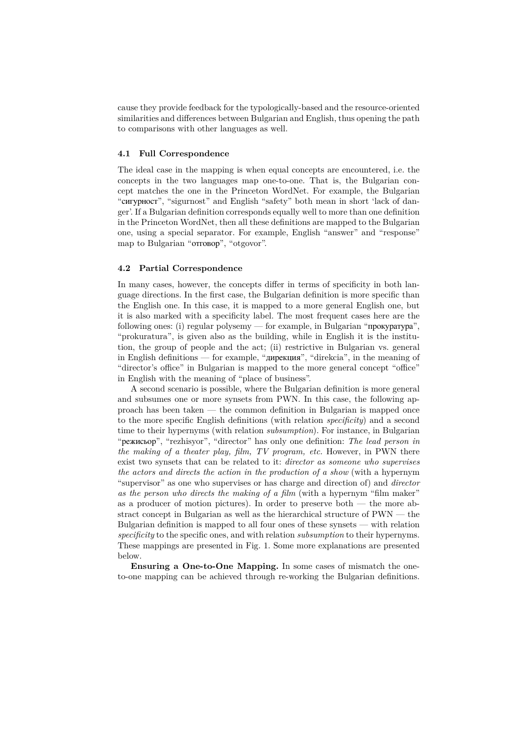cause they provide feedback for the typologically-based and the resource-oriented similarities and differences between Bulgarian and English, thus opening the path to comparisons with other languages as well.

# **4.1 Full Correspondence**

The ideal case in the mapping is when equal concepts are encountered, i.e. the concepts in the two languages map one-to-one. That is, the Bulgarian concept matches the one in the Princeton WordNet. For example, the Bulgarian "сигурност", "sigurnost" and English "safety" both mean in short 'lack of danger'. If a Bulgarian definition corresponds equally well to more than one definition in the Princeton WordNet, then all these definitions are mapped to the Bulgarian one, using a special separator. For example, English "answer" and "response" map to Bulgarian "отговор", "otgovor".

#### **4.2 Partial Correspondence**

In many cases, however, the concepts differ in terms of specificity in both language directions. In the first case, the Bulgarian definition is more specific than the English one. In this case, it is mapped to a more general English one, but it is also marked with a specificity label. The most frequent cases here are the following ones: (i) regular polysemy — for example, in Bulgarian "прокуратура", "prokuratura", is given also as the building, while in English it is the institution, the group of people and the act; (ii) restrictive in Bulgarian vs. general in English definitions — for example, "дирекция", "direkcia", in the meaning of "director's office" in Bulgarian is mapped to the more general concept "office" in English with the meaning of "place of business".

A second scenario is possible, where the Bulgarian definition is more general and subsumes one or more synsets from PWN. In this case, the following approach has been taken — the common definition in Bulgarian is mapped once to the more specific English definitions (with relation *specificity*) and a second time to their hypernyms (with relation *subsumption*). For instance, in Bulgarian "режисьор", "rezhisyor", "director" has only one definition: *The lead person in the making of a theater play, film, TV program, etc.* However, in PWN there exist two synsets that can be related to it: *director as someone who supervises the actors and directs the action in the production of a show* (with a hypernym "supervisor" as one who supervises or has charge and direction of) and *director as the person who directs the making of a film* (with a hypernym "film maker" as a producer of motion pictures). In order to preserve both — the more abstract concept in Bulgarian as well as the hierarchical structure of PWN — the Bulgarian definition is mapped to all four ones of these synsets — with relation *specificity* to the specific ones, and with relation *subsumption* to their hypernyms. These mappings are presented in Fig. 1. Some more explanations are presented below.

**Ensuring a One-to-One Mapping.** In some cases of mismatch the oneto-one mapping can be achieved through re-working the Bulgarian definitions.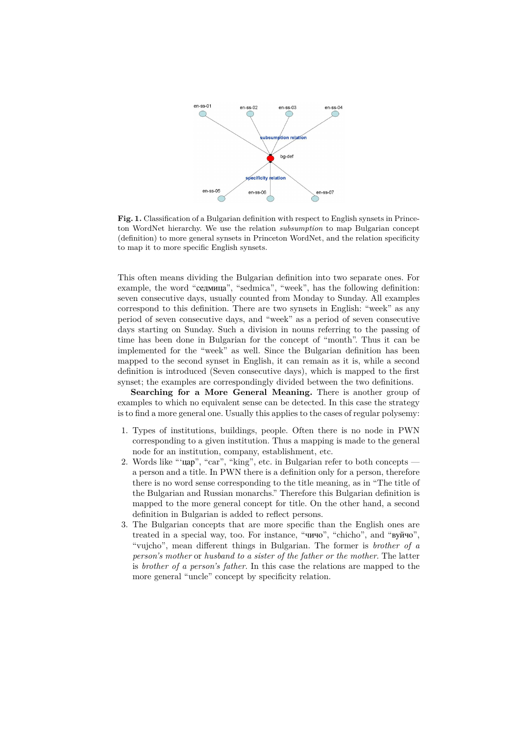

**Fig. 1.** Classification of a Bulgarian definition with respect to English synsets in Princeton WordNet hierarchy. We use the relation *subsumption* to map Bulgarian concept (definition) to more general synsets in Princeton WordNet, and the relation specificity to map it to more specific English synsets.

This often means dividing the Bulgarian definition into two separate ones. For example, the word "седмица", "sedmica", "week", has the following definition: seven consecutive days, usually counted from Monday to Sunday. All examples correspond to this definition. There are two synsets in English: "week" as any period of seven consecutive days, and "week" as a period of seven consecutive days starting on Sunday. Such a division in nouns referring to the passing of time has been done in Bulgarian for the concept of "month". Thus it can be implemented for the "week" as well. Since the Bulgarian definition has been mapped to the second synset in English, it can remain as it is, while a second definition is introduced (Seven consecutive days), which is mapped to the first synset; the examples are correspondingly divided between the two definitions.

**Searching for a More General Meaning.** There is another group of examples to which no equivalent sense can be detected. In this case the strategy is to find a more general one. Usually this applies to the cases of regular polysemy:

- 1. Types of institutions, buildings, people. Often there is no node in PWN corresponding to a given institution. Thus a mapping is made to the general node for an institution, company, establishment, etc.
- 2. Words like "'цар", "car", "king", etc. in Bulgarian refer to both concepts a person and a title. In PWN there is a definition only for a person, therefore there is no word sense corresponding to the title meaning, as in "The title of the Bulgarian and Russian monarchs." Therefore this Bulgarian definition is mapped to the more general concept for title. On the other hand, a second definition in Bulgarian is added to reflect persons.
- 3. The Bulgarian concepts that are more specific than the English ones are treated in a special way, too. For instance, "чичо", "chicho", and "вуйчо", "vujcho", mean different things in Bulgarian. The former is *brother of a person's mother* or *husband to a sister of the father or the mother*. The latter is *brother of a person's father*. In this case the relations are mapped to the more general "uncle" concept by specificity relation.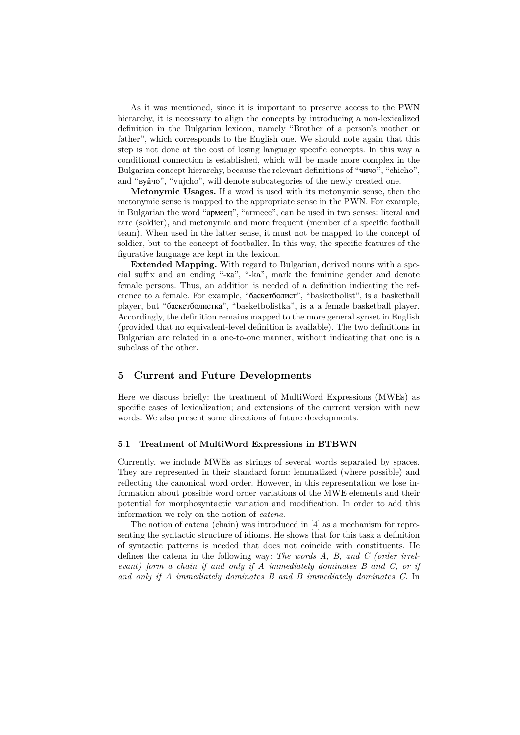As it was mentioned, since it is important to preserve access to the PWN hierarchy, it is necessary to align the concepts by introducing a non-lexicalized definition in the Bulgarian lexicon, namely "Brother of a person's mother or father", which corresponds to the English one. We should note again that this step is not done at the cost of losing language specific concepts. In this way a conditional connection is established, which will be made more complex in the Bulgarian concept hierarchy, because the relevant definitions of "чичо", "chicho", and "вуйчо", "vujcho", will denote subcategories of the newly created one.

**Metonymic Usages.** If a word is used with its metonymic sense, then the metonymic sense is mapped to the appropriate sense in the PWN. For example, in Bulgarian the word "армеец", "armeec", can be used in two senses: literal and rare (soldier), and metonymic and more frequent (member of a specific football team). When used in the latter sense, it must not be mapped to the concept of soldier, but to the concept of footballer. In this way, the specific features of the figurative language are kept in the lexicon.

**Extended Mapping.** With regard to Bulgarian, derived nouns with a special suffix and an ending "-ка", "-ka", mark the feminine gender and denote female persons. Thus, an addition is needed of a definition indicating the reference to a female. For example, "баскетболист", "basketbolist", is a basketball player, but "баскетболистка", "basketbolistka", is a a female basketball player. Accordingly, the definition remains mapped to the more general synset in English (provided that no equivalent-level definition is available). The two definitions in Bulgarian are related in a one-to-one manner, without indicating that one is a subclass of the other.

# **5 Current and Future Developments**

Here we discuss briefly: the treatment of MultiWord Expressions (MWEs) as specific cases of lexicalization; and extensions of the current version with new words. We also present some directions of future developments.

#### **5.1 Treatment of MultiWord Expressions in BTBWN**

Currently, we include MWEs as strings of several words separated by spaces. They are represented in their standard form: lemmatized (where possible) and reflecting the canonical word order. However, in this representation we lose information about possible word order variations of the MWE elements and their potential for morphosyntactic variation and modification. In order to add this information we rely on the notion of *catena*.

The notion of catena (chain) was introduced in [4] as a mechanism for representing the syntactic structure of idioms. He shows that for this task a definition of syntactic patterns is needed that does not coincide with constituents. He defines the catena in the following way: *The words A, B, and C (order irrelevant) form a chain if and only if A immediately dominates B and C, or if and only if A immediately dominates B and B immediately dominates C.* In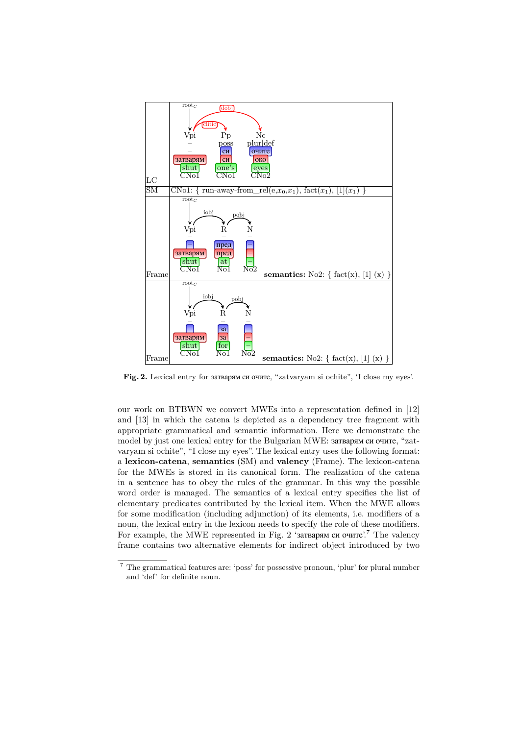

**Fig. 2.** Lexical entry for затварям си очите, "zatvaryam si ochite", 'I close my eyes'.

our work on BTBWN we convert MWEs into a representation defined in [12] and [13] in which the catena is depicted as a dependency tree fragment with appropriate grammatical and semantic information. Here we demonstrate the model by just one lexical entry for the Bulgarian MWE: затварям си очите, "zatvaryam si ochite", "I close my eyes". The lexical entry uses the following format: a **lexicon-catena**, **semantics** (SM) and **valency** (Frame). The lexicon-catena for the MWEs is stored in its canonical form. The realization of the catena in a sentence has to obey the rules of the grammar. In this way the possible word order is managed. The semantics of a lexical entry specifies the list of elementary predicates contributed by the lexical item. When the MWE allows for some modification (including adjunction) of its elements, i.e. modifiers of a noun, the lexical entry in the lexicon needs to specify the role of these modifiers. For example, the MWE represented in Fig. 2 'затварям си очите'.<sup>7</sup> The valency frame contains two alternative elements for indirect object introduced by two

 $^7$  The grammatical features are: 'poss' for possessive pronoun, 'plur' for plural number and 'def' for definite noun.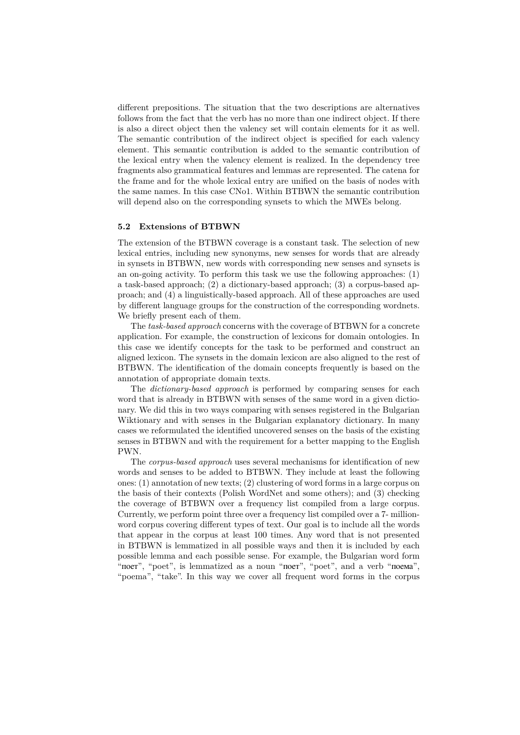different prepositions. The situation that the two descriptions are alternatives follows from the fact that the verb has no more than one indirect object. If there is also a direct object then the valency set will contain elements for it as well. The semantic contribution of the indirect object is specified for each valency element. This semantic contribution is added to the semantic contribution of the lexical entry when the valency element is realized. In the dependency tree fragments also grammatical features and lemmas are represented. The catena for the frame and for the whole lexical entry are unified on the basis of nodes with the same names. In this case CNo1. Within BTBWN the semantic contribution will depend also on the corresponding synsets to which the MWEs belong.

#### **5.2 Extensions of BTBWN**

The extension of the BTBWN coverage is a constant task. The selection of new lexical entries, including new synonyms, new senses for words that are already in synsets in BTBWN, new words with corresponding new senses and synsets is an on-going activity. To perform this task we use the following approaches: (1) a task-based approach; (2) a dictionary-based approach; (3) a corpus-based approach; and (4) a linguistically-based approach. All of these approaches are used by different language groups for the construction of the corresponding wordnets. We briefly present each of them.

The *task-based approach* concerns with the coverage of BTBWN for a concrete application. For example, the construction of lexicons for domain ontologies. In this case we identify concepts for the task to be performed and construct an aligned lexicon. The synsets in the domain lexicon are also aligned to the rest of BTBWN. The identification of the domain concepts frequently is based on the annotation of appropriate domain texts.

The *dictionary-based approach* is performed by comparing senses for each word that is already in BTBWN with senses of the same word in a given dictionary. We did this in two ways comparing with senses registered in the Bulgarian Wiktionary and with senses in the Bulgarian explanatory dictionary. In many cases we reformulated the identified uncovered senses on the basis of the existing senses in BTBWN and with the requirement for a better mapping to the English PWN.

The *corpus-based approach* uses several mechanisms for identification of new words and senses to be added to BTBWN. They include at least the following ones: (1) annotation of new texts; (2) clustering of word forms in a large corpus on the basis of their contexts (Polish WordNet and some others); and (3) checking the coverage of BTBWN over a frequency list compiled from a large corpus. Currently, we perform point three over a frequency list compiled over a 7- millionword corpus covering different types of text. Our goal is to include all the words that appear in the corpus at least 100 times. Any word that is not presented in BTBWN is lemmatized in all possible ways and then it is included by each possible lemma and each possible sense. For example, the Bulgarian word form "поет", "poet", is lemmatized as a noun "поет", "poet", and a verb "поема", "poema", "take". In this way we cover all frequent word forms in the corpus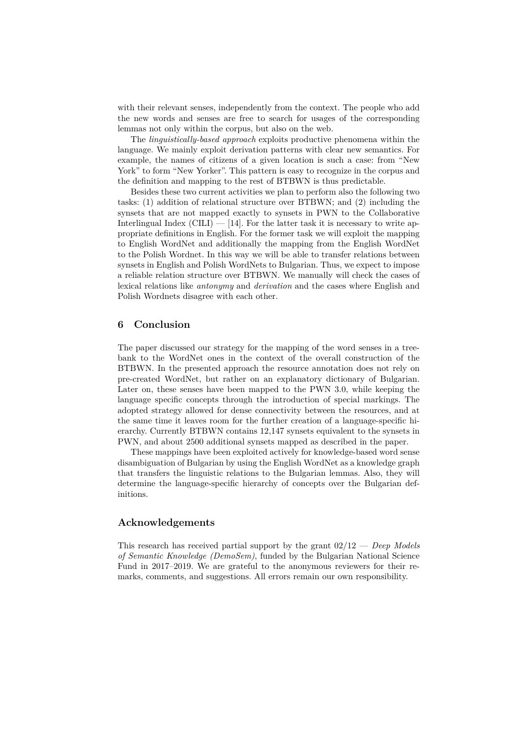with their relevant senses, independently from the context. The people who add the new words and senses are free to search for usages of the corresponding lemmas not only within the corpus, but also on the web.

The *linguistically-based approach* exploits productive phenomena within the language. We mainly exploit derivation patterns with clear new semantics. For example, the names of citizens of a given location is such a case: from "New York" to form "New Yorker". This pattern is easy to recognize in the corpus and the definition and mapping to the rest of BTBWN is thus predictable.

Besides these two current activities we plan to perform also the following two tasks: (1) addition of relational structure over BTBWN; and (2) including the synsets that are not mapped exactly to synsets in PWN to the Collaborative Interlingual Index (CILI)  $-$  [14]. For the latter task it is necessary to write appropriate definitions in English. For the former task we will exploit the mapping to English WordNet and additionally the mapping from the English WordNet to the Polish Wordnet. In this way we will be able to transfer relations between synsets in English and Polish WordNets to Bulgarian. Thus, we expect to impose a reliable relation structure over BTBWN. We manually will check the cases of lexical relations like *antonymy* and *derivation* and the cases where English and Polish Wordnets disagree with each other.

#### **6 Conclusion**

The paper discussed our strategy for the mapping of the word senses in a treebank to the WordNet ones in the context of the overall construction of the BTBWN. In the presented approach the resource annotation does not rely on pre-created WordNet, but rather on an explanatory dictionary of Bulgarian. Later on, these senses have been mapped to the PWN 3.0, while keeping the language specific concepts through the introduction of special markings. The adopted strategy allowed for dense connectivity between the resources, and at the same time it leaves room for the further creation of a language-specific hierarchy. Currently BTBWN contains 12,147 synsets equivalent to the synsets in PWN, and about 2500 additional synsets mapped as described in the paper.

These mappings have been exploited actively for knowledge-based word sense disambiguation of Bulgarian by using the English WordNet as a knowledge graph that transfers the linguistic relations to the Bulgarian lemmas. Also, they will determine the language-specific hierarchy of concepts over the Bulgarian definitions.

# **Acknowledgements**

This research has received partial support by the grant 02/12 — *Deep Models of Semantic Knowledge (DemoSem)*, funded by the Bulgarian National Science Fund in 2017–2019. We are grateful to the anonymous reviewers for their remarks, comments, and suggestions. All errors remain our own responsibility.